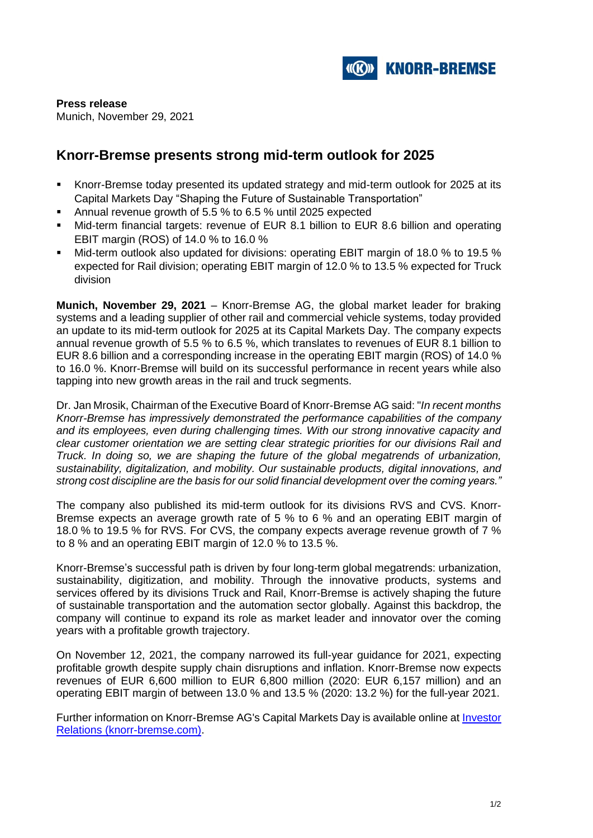

**Press release** Munich, November 29, 2021

# **Knorr-Bremse presents strong mid-term outlook for 2025**

- Knorr-Bremse today presented its updated strategy and mid-term outlook for 2025 at its Capital Markets Day "Shaping the Future of Sustainable Transportation"
- Annual revenue growth of 5.5 % to 6.5 % until 2025 expected
- Mid-term financial targets: revenue of EUR 8.1 billion to EUR 8.6 billion and operating EBIT margin (ROS) of 14.0 % to 16.0 %
- Mid-term outlook also updated for divisions: operating EBIT margin of 18.0 % to 19.5 % expected for Rail division; operating EBIT margin of 12.0 % to 13.5 % expected for Truck division

**Munich, November 29, 2021** – Knorr-Bremse AG, the global market leader for braking systems and a leading supplier of other rail and commercial vehicle systems, today provided an update to its mid-term outlook for 2025 at its Capital Markets Day. The company expects annual revenue growth of 5.5 % to 6.5 %, which translates to revenues of EUR 8.1 billion to EUR 8.6 billion and a corresponding increase in the operating EBIT margin (ROS) of 14.0 % to 16.0 %. Knorr-Bremse will build on its successful performance in recent years while also tapping into new growth areas in the rail and truck segments.

Dr. Jan Mrosik, Chairman of the Executive Board of Knorr-Bremse AG said: "*In recent months Knorr-Bremse has impressively demonstrated the performance capabilities of the company and its employees, even during challenging times. With our strong innovative capacity and clear customer orientation we are setting clear strategic priorities for our divisions Rail and Truck. In doing so, we are shaping the future of the global megatrends of urbanization, sustainability, digitalization, and mobility. Our sustainable products, digital innovations, and strong cost discipline are the basis for our solid financial development over the coming years."*

The company also published its mid-term outlook for its divisions RVS and CVS. Knorr-Bremse expects an average growth rate of 5 % to 6 % and an operating EBIT margin of 18.0 % to 19.5 % for RVS. For CVS, the company expects average revenue growth of 7 % to 8 % and an operating EBIT margin of 12.0 % to 13.5 %.

Knorr-Bremse's successful path is driven by four long-term global megatrends: urbanization, sustainability, digitization, and mobility. Through the innovative products, systems and services offered by its divisions Truck and Rail, Knorr-Bremse is actively shaping the future of sustainable transportation and the automation sector globally. Against this backdrop, the company will continue to expand its role as market leader and innovator over the coming years with a profitable growth trajectory.

On November 12, 2021, the company narrowed its full-year guidance for 2021, expecting profitable growth despite supply chain disruptions and inflation. Knorr-Bremse now expects revenues of EUR 6,600 million to EUR 6,800 million (2020: EUR 6,157 million) and an operating EBIT margin of between 13.0 % and 13.5 % (2020: 13.2 %) for the full-year 2021.

Further information on Knorr-Bremse AG's Capital Markets Day is available online at [Investor](https://eqs-cockpit.com/cgi-bin/fncls.ssp?fn=redirect&url=782d980aab2e465cdc27d1012711ef27&application_id=1248546&site_id=news_data&application_name=news)  [Relations \(knorr-bremse.com\).](https://eqs-cockpit.com/cgi-bin/fncls.ssp?fn=redirect&url=782d980aab2e465cdc27d1012711ef27&application_id=1248546&site_id=news_data&application_name=news)